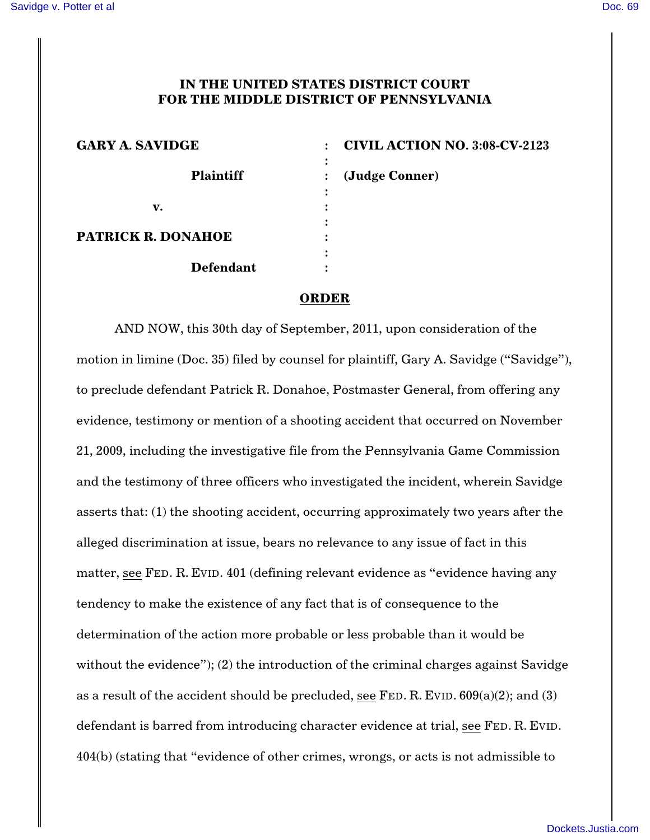## **IN THE UNITED STATES DISTRICT COURT FOR THE MIDDLE DISTRICT OF PENNSYLVANIA**

| <b>GARY A. SAVIDGE</b>    | <b>CIVIL ACTION NO. 3:08-CV-2123</b>  |
|---------------------------|---------------------------------------|
| <b>Plaintiff</b>          | ٠<br>(Judge Conner)<br>$\bullet$<br>٠ |
| v.                        |                                       |
| <b>PATRICK R. DONAHOE</b> | ٠                                     |
| <b>Defendant</b>          | ٠                                     |

## **ORDER**

AND NOW, this 30th day of September, 2011, upon consideration of the motion in limine (Doc. 35) filed by counsel for plaintiff, Gary A. Savidge ("Savidge"), to preclude defendant Patrick R. Donahoe, Postmaster General, from offering any evidence, testimony or mention of a shooting accident that occurred on November 21, 2009, including the investigative file from the Pennsylvania Game Commission and the testimony of three officers who investigated the incident, wherein Savidge asserts that: (1) the shooting accident, occurring approximately two years after the alleged discrimination at issue, bears no relevance to any issue of fact in this matter, see FED. R. EVID. 401 (defining relevant evidence as "evidence having any tendency to make the existence of any fact that is of consequence to the determination of the action more probable or less probable than it would be without the evidence"); (2) the introduction of the criminal charges against Savidge as a result of the accident should be precluded, see FED. R. EVID.  $609(a)(2)$ ; and (3) defendant is barred from introducing character evidence at trial, see FED. R. EVID. 404(b) (stating that "evidence of other crimes, wrongs, or acts is not admissible to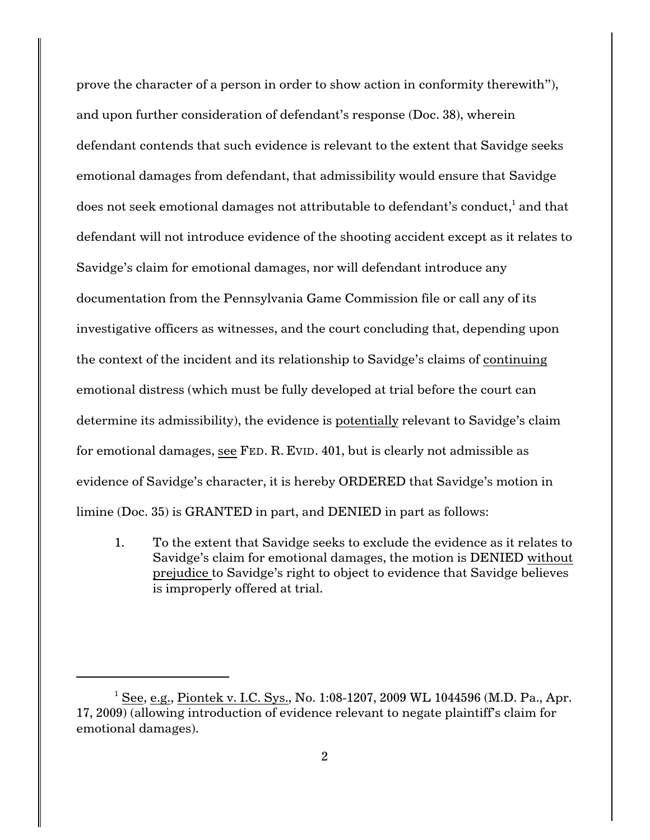prove the character of a person in order to show action in conformity therewith"), and upon further consideration of defendant's response (Doc. 38), wherein defendant contends that such evidence is relevant to the extent that Savidge seeks emotional damages from defendant, that admissibility would ensure that Savidge does not seek emotional damages not attributable to defendant's conduct, $^{\rm 1}$  and that defendant will not introduce evidence of the shooting accident except as it relates to Savidge's claim for emotional damages, nor will defendant introduce any documentation from the Pennsylvania Game Commission file or call any of its investigative officers as witnesses, and the court concluding that, depending upon the context of the incident and its relationship to Savidge's claims of continuing emotional distress (which must be fully developed at trial before the court can determine its admissibility), the evidence is potentially relevant to Savidge's claim for emotional damages, see FED. R. EVID. 401, but is clearly not admissible as evidence of Savidge's character, it is hereby ORDERED that Savidge's motion in limine (Doc. 35) is GRANTED in part, and DENIED in part as follows:

1. To the extent that Savidge seeks to exclude the evidence as it relates to Savidge's claim for emotional damages, the motion is DENIED without prejudice to Savidge's right to object to evidence that Savidge believes is improperly offered at trial.

<sup>&</sup>lt;sup>1</sup> See, e.g., Piontek v. I.C. Sys., No. 1:08-1207, 2009 WL 1044596 (M.D. Pa., Apr. 17, 2009) (allowing introduction of evidence relevant to negate plaintiff's claim for emotional damages).